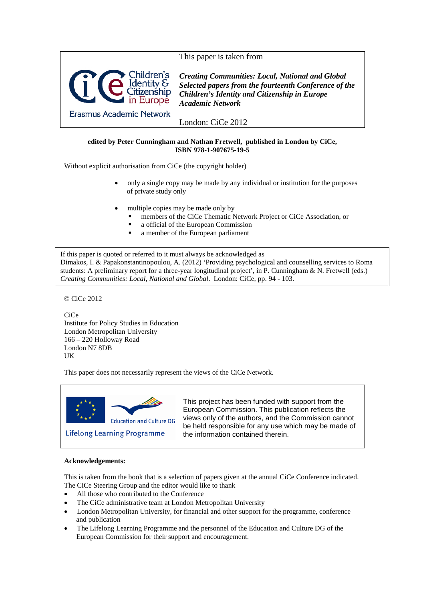

# **edited by Peter Cunningham and Nathan Fretwell, published in London by CiCe, ISBN 978-1-907675-19-5**

Without explicit authorisation from CiCe (the copyright holder)

- only a single copy may be made by any individual or institution for the purposes of private study only
- multiple copies may be made only by
	- members of the CiCe Thematic Network Project or CiCe Association, or
	- a official of the European Commission
	- a member of the European parliament

If this paper is quoted or referred to it must always be acknowledged as Dimakos, I. & Papakonstantinopoulou, A. (2012) 'Providing psychological and counselling services to Roma students: A preliminary report for a three-year longitudinal project', in P. Cunningham & N. Fretwell (eds.) *Creating Communities: Local, National and Global*. London: CiCe, pp. 94 - 103.

© CiCe 2012

**CiCe** Institute for Policy Studies in Education London Metropolitan University 166 – 220 Holloway Road London N7 8DB UK

This paper does not necessarily represent the views of the CiCe Network.



This project has been funded with support from the European Commission. This publication reflects the views only of the authors, and the Commission cannot be held responsible for any use which may be made of the information contained therein.

# **Acknowledgements:**

This is taken from the book that is a selection of papers given at the annual CiCe Conference indicated. The CiCe Steering Group and the editor would like to thank

- All those who contributed to the Conference
- The CiCe administrative team at London Metropolitan University
- London Metropolitan University, for financial and other support for the programme, conference and publication
- The Lifelong Learning Programme and the personnel of the Education and Culture DG of the European Commission for their support and encouragement.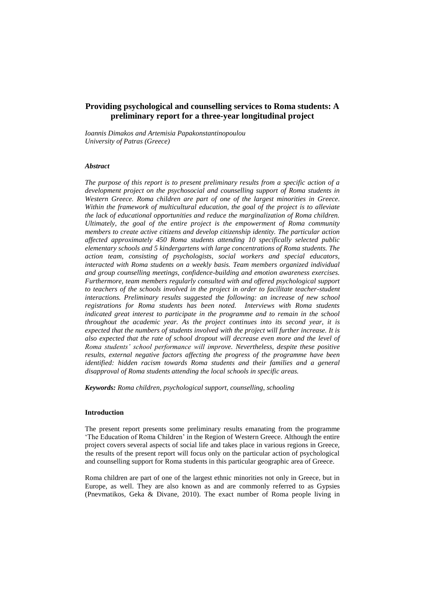# **Providing psychological and counselling services to Roma students: A preliminary report for a three-year longitudinal project**

*Ioannis Dimakos and Artemisia Papakonstantinopoulou University of Patras (Greece)*

### *Abstract*

*The purpose of this report is to present preliminary results from a specific action of a development project on the psychosocial and counselling support of Roma students in Western Greece. Roma children are part of one of the largest minorities in Greece. Within the framework of multicultural education, the goal of the project is to alleviate the lack of educational opportunities and reduce the marginalization of Roma children. Ultimately, the goal of the entire project is the empowerment of Roma community members to create active citizens and develop citizenship identity. The particular action affected approximately 450 Roma students attending 10 specifically selected public elementary schools and 5 kindergartens with large concentrations of Roma students. The action team, consisting of psychologists, social workers and special educators, interacted with Roma students on a weekly basis. Team members organized individual and group counselling meetings, confidence-building and emotion awareness exercises. Furthermore, team members regularly consulted with and offered psychological support*  to teachers of the schools involved in the project in order to facilitate teacher-student *interactions. Preliminary results suggested the following: an increase of new school registrations for Roma students has been noted. Interviews with Roma students indicated great interest to participate in the programme and to remain in the school throughout the academic year. As the project continues into its second year, it is expected that the numbers of students involved with the project will further increase. It is also expected that the rate of school dropout will decrease even more and the level of Roma students' school performance will improve. Nevertheless, despite these positive results, external negative factors affecting the progress of the programme have been identified: hidden racism towards Roma students and their families and a general disapproval of Roma students attending the local schools in specific areas.*

*Keywords: Roma children, psychological support, counselling, schooling*

### **Introduction**

The present report presents some preliminary results emanating from the programme 'The Education of Roma Children' in the Region of Western Greece. Although the entire project covers several aspects of social life and takes place in various regions in Greece, the results of the present report will focus only on the particular action of psychological and counselling support for Roma students in this particular geographic area of Greece.

Roma children are part of one of the largest ethnic minorities not only in Greece, but in Europe, as well. They are also known as and are commonly referred to as Gypsies (Pnevmatikos, Geka & Divane, 2010). The exact number of Roma people living in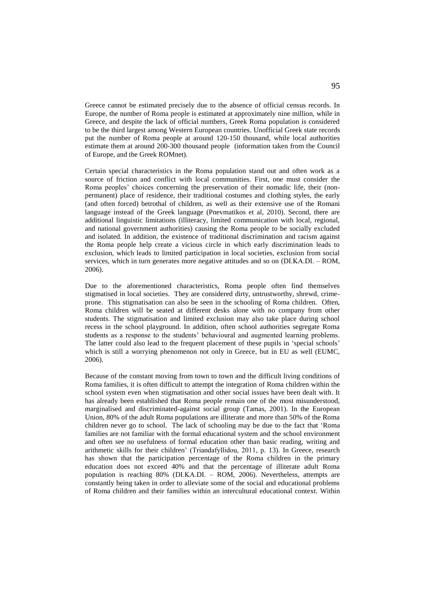Greece cannot be estimated precisely due to the absence of official census records. In Europe, the number of Roma people is estimated at approximately nine million, while in Greece, and despite the lack of official numbers, Greek Roma population is considered to be the third largest among Western European countries. Unofficial Greek state records put the number of Roma people at around 120-150 thousand, while local authorities estimate them at around 200-300 thousand people (information taken from the Council of Europe, and the Greek ROMnet).

Certain special characteristics in the Roma population stand out and often work as a source of friction and conflict with local communities. First, one must consider the Roma peoples' choices concerning the preservation of their nomadic life, their (nonpermanent) place of residence, their traditional costumes and clothing styles, the early (and often forced) betrothal of children, as well as their extensive use of the Romani language instead of the Greek language (Pnevmatikos et al, 2010). Second, there are additional linguistic limitations (illiteracy, limited communication with local, regional, and national government authorities) causing the Roma people to be socially excluded and isolated. In addition, the existence of traditional discrimination and racism against the Roma people help create a vicious circle in which early discrimination leads to exclusion, which leads to limited participation in local societies, exclusion from social services, which in turn generates more negative attitudes and so on (DΙ.ΚΑ.DΙ. – ROM, 2006).

Due to the aforementioned characteristics, Roma people often find themselves stigmatised in local societies. They are considered dirty, untrustworthy, shrewd, crimeprone. This stigmatisation can also be seen in the schooling of Roma children. Often, Roma children will be seated at different desks alone with no company from other students. The stigmatisation and limited exclusion may also take place during school recess in the school playground. In addition, often school authorities segregate Roma students as a response to the students' behavioural and augmented learning problems. The latter could also lead to the frequent placement of these pupils in 'special schools' which is still a worrying phenomenon not only in Greece, but in EU as well (EUMC, 2006).

Because of the constant moving from town to town and the difficult living conditions of Roma families, it is often difficult to attempt the integration of Roma children within the school system even when stigmatisation and other social issues have been dealt with. It has already been established that Roma people remain one of the most misunderstood, marginalised and discriminated-against social group (Tamas, 2001). In the European Union, 80% of the adult Roma populations are illiterate and more than 50% of the Roma children never go to school. The lack of schooling may be due to the fact that 'Roma families are not familiar with the formal educational system and the school environment and often see no usefulness of formal education other than basic reading, writing and arithmetic skills for their children' (Triandafyllidou, 2011, p. 13). In Greece, research has shown that the participation percentage of the Roma children in the primary education does not exceed 40% and that the percentage of illiterate adult Roma population is reaching 80% (DΙ.ΚΑ.DΙ. – ROM, 2006). Nevertheless, attempts are constantly being taken in order to alleviate some of the social and educational problems of Roma children and their families within an intercultural educational context. Within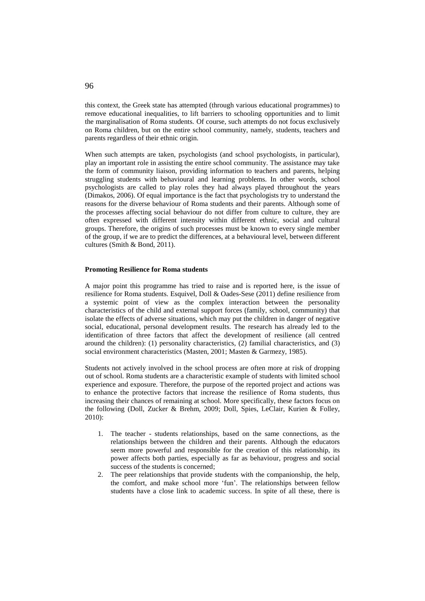this context, the Greek state has attempted (through various educational programmes) to remove educational inequalities, to lift barriers to schooling opportunities and to limit the marginalisation of Roma students. Of course, such attempts do not focus exclusively on Roma children, but on the entire school community, namely, students, teachers and parents regardless of their ethnic origin.

When such attempts are taken, psychologists (and school psychologists, in particular), play an important role in assisting the entire school community. The assistance may take the form of community liaison, providing information to teachers and parents, helping struggling students with behavioural and learning problems. In other words, school psychologists are called to play roles they had always played throughout the years (Dimakos, 2006). Of equal importance is the fact that psychologists try to understand the reasons for the diverse behaviour of Roma students and their parents. Although some of the processes affecting social behaviour do not differ from culture to culture, they are often expressed with different intensity within different ethnic, social and cultural groups. Therefore, the origins of such processes must be known to every single member of the group, if we are to predict the differences, at a behavioural level, between different cultures (Smith & Bond, 2011).

### **Promoting Resilience for Roma students**

A major point this programme has tried to raise and is reported here, is the issue of resilience for Roma students. Esquivel, Doll & Oades-Sese (2011) define resilience from a systemic point of view as the complex interaction between the personality characteristics of the child and external support forces (family, school, community) that isolate the effects of adverse situations, which may put the children in danger of negative social, educational, personal development results. The research has already led to the identification of three factors that affect the development of resilience (all centred around the children): (1) personality characteristics, (2) familial characteristics, and (3) social environment characteristics (Masten, 2001; Masten & Garmezy, 1985).

Students not actively involved in the school process are often more at risk of dropping out of school. Roma students are a characteristic example of students with limited school experience and exposure. Therefore, the purpose of the reported project and actions was to enhance the protective factors that increase the resilience of Roma students, thus increasing their chances of remaining at school. More specifically, these factors focus on the following (Doll, Zucker & Brehm, 2009; Doll, Spies, LeClair, Kurien & Folley, 2010):

- 1. The teacher students relationships, based on the same connections, as the relationships between the children and their parents. Although the educators seem more powerful and responsible for the creation of this relationship, its power affects both parties, especially as far as behaviour, progress and social success of the students is concerned;
- 2. The peer relationships that provide students with the companionship, the help, the comfort, and make school more 'fun'. The relationships between fellow students have a close link to academic success. In spite of all these, there is

96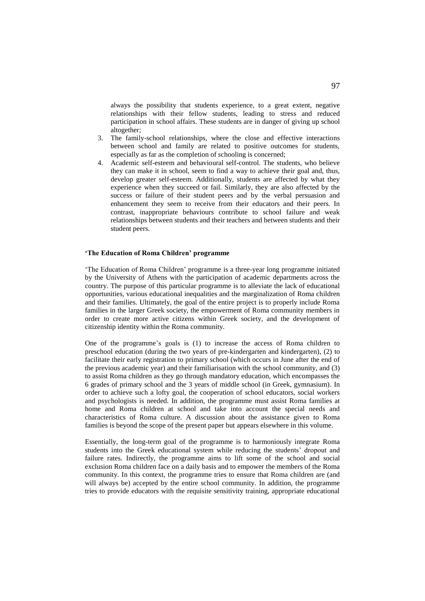always the possibility that students experience, to a great extent, negative relationships with their fellow students, leading to stress and reduced participation in school affairs. These students are in danger of giving up school altogether;

- 3. The family-school relationships, where the close and effective interactions between school and family are related to positive outcomes for students, especially as far as the completion of schooling is concerned;
- 4. Academic self-esteem and behavioural self-control. The students, who believe they can make it in school, seem to find a way to achieve their goal and, thus, develop greater self-esteem. Additionally, students are affected by what they experience when they succeed or fail. Similarly, they are also affected by the success or failure of their student peers and by the verbal persuasion and enhancement they seem to receive from their educators and their peers. In contrast, inappropriate behaviours contribute to school failure and weak relationships between students and their teachers and between students and their student peers.

## **'The Education of Roma Children' programme**

'The Education of Roma Children' programme is a three-year long programme initiated by the University of Athens with the participation of academic departments across the country. The purpose of this particular programme is to alleviate the lack of educational opportunities, various educational inequalities and the marginalization of Roma children and their families. Ultimately, the goal of the entire project is to properly include Roma families in the larger Greek society, the empowerment of Roma community members in order to create more active citizens within Greek society, and the development of citizenship identity within the Roma community.

One of the programme's goals is (1) to increase the access of Roma children to preschool education (during the two years of pre-kindergarten and kindergarten), (2) to facilitate their early registration to primary school (which occurs in June after the end of the previous academic year) and their familiarisation with the school community, and (3) to assist Roma children as they go through mandatory education, which encompasses the 6 grades of primary school and the 3 years of middle school (in Greek, gymnasium). In order to achieve such a lofty goal, the cooperation of school educators, social workers and psychologists is needed. In addition, the programme must assist Roma families at home and Roma children at school and take into account the special needs and characteristics of Roma culture. A discussion about the assistance given to Roma families is beyond the scope of the present paper but appears elsewhere in this volume.

Essentially, the long-term goal of the programme is to harmoniously integrate Roma students into the Greek educational system while reducing the students' dropout and failure rates. Indirectly, the programme aims to lift some of the school and social exclusion Roma children face on a daily basis and to empower the members of the Roma community. In this context, the programme tries to ensure that Roma children are (and will always be) accepted by the entire school community. In addition, the programme tries to provide educators with the requisite sensitivity training, appropriate educational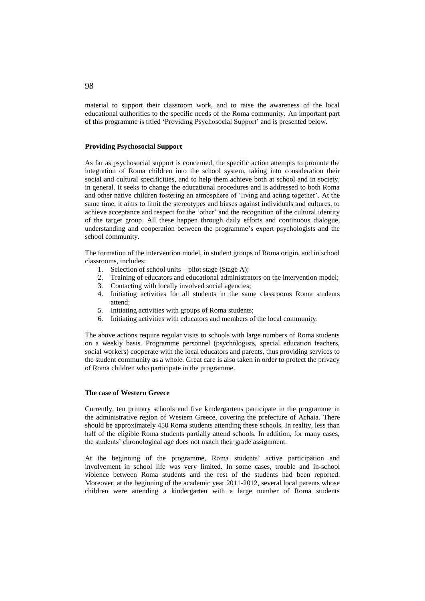material to support their classroom work, and to raise the awareness of the local educational authorities to the specific needs of the Roma community. An important part of this programme is titled 'Providing Psychosocial Support' and is presented below.

### **Providing Psychosocial Support**

As far as psychosocial support is concerned, the specific action attempts to promote the integration of Roma children into the school system, taking into consideration their social and cultural specificities, and to help them achieve both at school and in society, in general. It seeks to change the educational procedures and is addressed to both Roma and other native children fostering an atmosphere of 'living and acting together'. At the same time, it aims to limit the stereotypes and biases against individuals and cultures, to achieve acceptance and respect for the 'other' and the recognition of the cultural identity of the target group. All these happen through daily efforts and continuous dialogue, understanding and cooperation between the programme's expert psychologists and the school community.

The formation of the intervention model, in student groups of Roma origin, and in school classrooms, includes:

- 1. Selection of school units pilot stage (Stage A);
- 2. Training of educators and educational administrators on the intervention model;
- 3. Contacting with locally involved social agencies;
- 4. Initiating activities for all students in the same classrooms Roma students attend;
- 5. Initiating activities with groups of Roma students;
- 6. Initiating activities with educators and members of the local community.

The above actions require regular visits to schools with large numbers of Roma students on a weekly basis. Programme personnel (psychologists, special education teachers, social workers) cooperate with the local educators and parents, thus providing services to the student community as a whole. Great care is also taken in order to protect the privacy of Roma children who participate in the programme.

#### **The case of Western Greece**

Currently, ten primary schools and five kindergartens participate in the programme in the administrative region of Western Greece, covering the prefecture of Achaia. There should be approximately 450 Roma students attending these schools. In reality, less than half of the eligible Roma students partially attend schools. In addition, for many cases, the students' chronological age does not match their grade assignment.

At the beginning of the programme, Roma students' active participation and involvement in school life was very limited. In some cases, trouble and in-school violence between Roma students and the rest of the students had been reported. Moreover, at the beginning of the academic year 2011-2012, several local parents whose children were attending a kindergarten with a large number of Roma students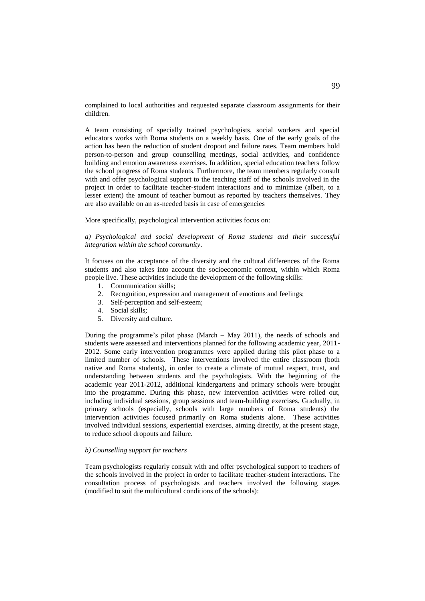complained to local authorities and requested separate classroom assignments for their children.

A team consisting of specially trained psychologists, social workers and special educators works with Roma students on a weekly basis. One of the early goals of the action has been the reduction of student dropout and failure rates. Team members hold person-to-person and group counselling meetings, social activities, and confidence building and emotion awareness exercises. In addition, special education teachers follow the school progress of Roma students. Furthermore, the team members regularly consult with and offer psychological support to the teaching staff of the schools involved in the project in order to facilitate teacher-student interactions and to minimize (albeit, to a lesser extent) the amount of teacher burnout as reported by teachers themselves. They are also available on an as-needed basis in case of emergencies

More specifically, psychological intervention activities focus on:

*a) Psychological and social development of Roma students and their successful integration within the school community*.

It focuses on the acceptance of the diversity and the cultural differences of the Roma students and also takes into account the socioeconomic context, within which Roma people live. These activities include the development of the following skills:

- 1. Communication skills;
- 2. Recognition, expression and management of emotions and feelings;
- 3. Self-perception and self-esteem;
- 4. Social skills;
- 5. Diversity and culture.

During the programme's pilot phase (March – May 2011), the needs of schools and students were assessed and interventions planned for the following academic year, 2011- 2012. Some early intervention programmes were applied during this pilot phase to a limited number of schools. These interventions involved the entire classroom (both native and Roma students), in order to create a climate of mutual respect, trust, and understanding between students and the psychologists. With the beginning of the academic year 2011-2012, additional kindergartens and primary schools were brought into the programme. During this phase, new intervention activities were rolled out, including individual sessions, group sessions and team-building exercises. Gradually, in primary schools (especially, schools with large numbers of Roma students) the intervention activities focused primarily on Roma students alone. These activities involved individual sessions, experiential exercises, aiming directly, at the present stage, to reduce school dropouts and failure.

#### *b) Counselling support for teachers*

Team psychologists regularly consult with and offer psychological support to teachers of the schools involved in the project in order to facilitate teacher-student interactions. The consultation process of psychologists and teachers involved the following stages (modified to suit the multicultural conditions of the schools):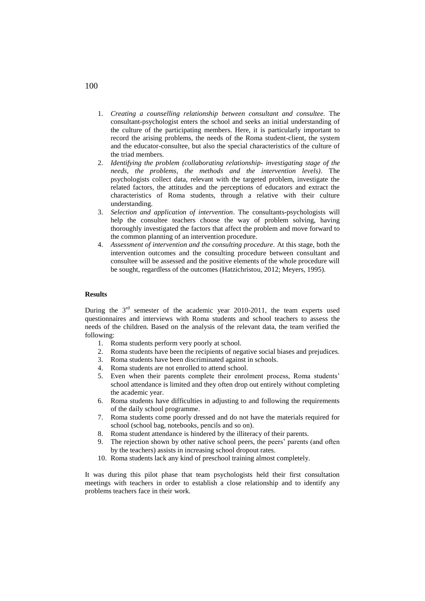- 1. *Creating a counselling relationship between consultant and consultee.* The consultant-psychologist enters the school and seeks an initial understanding of the culture of the participating members. Here, it is particularly important to record the arising problems, the needs of the Roma student-client, the system and the educator-consultee, but also the special characteristics of the culture of the triad members.
- 2. *Identifying the problem (collaborating relationship- investigating stage of the needs, the problems, the methods and the intervention levels).* The psychologists collect data, relevant with the targeted problem, investigate the related factors, the attitudes and the perceptions of educators and extract the characteristics of Roma students, through a relative with their culture understanding.
- 3. *Selection and application of intervention*. The consultants-psychologists will help the consultee teachers choose the way of problem solving, having thoroughly investigated the factors that affect the problem and move forward to the common planning of an intervention procedure.
- 4. *Assessment of intervention and the consulting procedure.* At this stage, both the intervention outcomes and the consulting procedure between consultant and consultee will be assessed and the positive elements of the whole procedure will be sought, regardless of the outcomes (Hatzichristou, 2012; Meyers, 1995).

## **Results**

During the  $3<sup>rd</sup>$  semester of the academic year 2010-2011, the team experts used questionnaires and interviews with Roma students and school teachers to assess the needs of the children. Based on the analysis of the relevant data, the team verified the following:

- 1. Roma students perform very poorly at school.
- 2. Roma students have been the recipients of negative social biases and prejudices.
- 3. Roma students have been discriminated against in schools.
- 4. Roma students are not enrolled to attend school.
- 5. Even when their parents complete their enrolment process, Roma students' school attendance is limited and they often drop out entirely without completing the academic year.
- 6. Roma students have difficulties in adjusting to and following the requirements of the daily school programme.
- 7. Roma students come poorly dressed and do not have the materials required for school (school bag, notebooks, pencils and so on).
- 8. Roma student attendance is hindered by the illiteracy of their parents.
- 9. The rejection shown by other native school peers, the peers' parents (and often by the teachers) assists in increasing school dropout rates.
- 10. Roma students lack any kind of preschool training almost completely.

It was during this pilot phase that team psychologists held their first consultation meetings with teachers in order to establish a close relationship and to identify any problems teachers face in their work.

# 100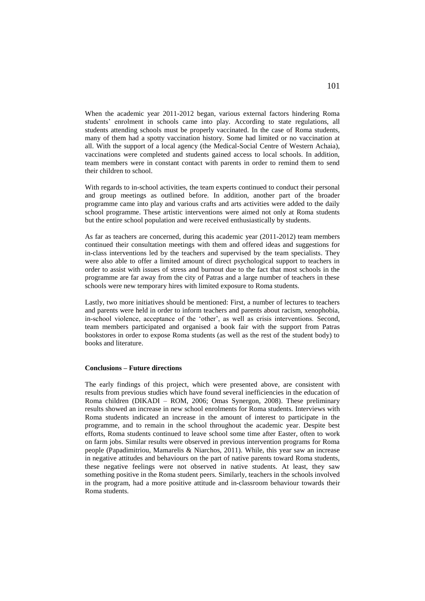When the academic year 2011-2012 began, various external factors hindering Roma students' enrolment in schools came into play. According to state regulations, all students attending schools must be properly vaccinated. In the case of Roma students, many of them had a spotty vaccination history. Some had limited or no vaccination at all. With the support of a local agency (the Medical-Social Centre of Western Achaia), vaccinations were completed and students gained access to local schools. In addition, team members were in constant contact with parents in order to remind them to send their children to school.

With regards to in-school activities, the team experts continued to conduct their personal and group meetings as outlined before. In addition, another part of the broader programme came into play and various crafts and arts activities were added to the daily school programme. These artistic interventions were aimed not only at Roma students but the entire school population and were received enthusiastically by students.

As far as teachers are concerned, during this academic year (2011-2012) team members continued their consultation meetings with them and offered ideas and suggestions for in-class interventions led by the teachers and supervised by the team specialists. They were also able to offer a limited amount of direct psychological support to teachers in order to assist with issues of stress and burnout due to the fact that most schools in the programme are far away from the city of Patras and a large number of teachers in these schools were new temporary hires with limited exposure to Roma students.

Lastly, two more initiatives should be mentioned: First, a number of lectures to teachers and parents were held in order to inform teachers and parents about racism, xenophobia, in-school violence, acceptance of the 'other', as well as crisis interventions. Second, team members participated and organised a book fair with the support from Patras bookstores in order to expose Roma students (as well as the rest of the student body) to books and literature.

#### **Conclusions – Future directions**

The early findings of this project, which were presented above, are consistent with results from previous studies which have found several inefficiencies in the education of Roma children (DIKADI – ROM, 2006; Omas Synergon, 2008). These preliminary results showed an increase in new school enrolments for Roma students. Interviews with Roma students indicated an increase in the amount of interest to participate in the programme, and to remain in the school throughout the academic year. Despite best efforts, Roma students continued to leave school some time after Easter, often to work on farm jobs. Similar results were observed in previous intervention programs for Roma people (Papadimitriou, Mamarelis & Niarchos, 2011). While, this year saw an increase in negative attitudes and behaviours on the part of native parents toward Roma students, these negative feelings were not observed in native students. At least, they saw something positive in the Roma student peers. Similarly, teachers in the schools involved in the program, had a more positive attitude and in-classroom behaviour towards their Roma students.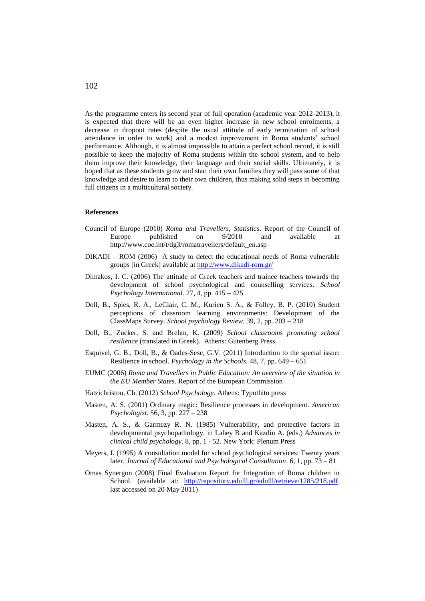As the programme enters its second year of full operation (academic year 2012-2013), it is expected that there will be an even higher increase in new school enrolments, a decrease in dropout rates (despite the usual attitude of early termination of school attendance in order to work) and a modest improvement in Roma students' school performance. Although, it is almost impossible to attain a perfect school record, it is still possible to keep the majority of Roma students within the school system, and to help them improve their knowledge, their language and their social skills. Ultimately, it is hoped that as these students grow and start their own families they will pass some of that knowledge and desire to learn to their own children, thus making solid steps in becoming full citizens in a multicultural society.

#### **References**

- Council of Europe (2010) *Roma and Travellers, Statistics*. Report of the Council of Europe published on 9/2010 and available at http://www.coe.int/t/dg3/romatravellers/default\_en.asp
- DIKADI ROM (2006) A study to detect the educational needs of Roma vulnerable groups [in Greek] available at <http://www.dikadi-rom.gr/>
- Dimakos, I. C. (2006) The attitude of Greek teachers and trainee teachers towards the development of school psychological and counselling services. *School Psychology International*. 27, 4, pp. 415 – 425
- Doll, B., Spies, R. A., LeClair, C. M., Kurien S. A., & Folley, B. P. (2010) Student perceptions of classroom learning environments: Development of the ClassMaps Survey. *School psychology Review.* 39, 2, pp. 203 – 218
- Doll, B., Zucker, S. and Brehm, K. (2009) *School classrooms promoting school resilience* (translated in Greek)*.* Athens: Gutenberg Press
- Esquivel, G. B., Doll, B., & Oades-Sese, G.V. (2011) Introduction to the special issue: Resilience in school. *Psychology in the Schools.* 48, 7, pp. 649 – 651
- EUMC (2006) *Roma and Travellers in Public Education: An overview of the situation in the EU Member States*. Report of the European Commission
- Hatzichristou, Ch. (2012) *School Psychology*. Athens: Typothito press
- Masten, A. S. (2001) Ordinary magic: Resilience processes in development. *American Psychologist.* 56, 3, pp. 227 – 238
- Masten, A. S., & Garmezy R. N. (1985) Vulnerability, and protective factors in developmental psychopathology, in Lahey B and Kazdin A. (eds.) *Advances in clinical child psychology*. 8, pp. 1 - 52. New York: Plenum Press
- Meyers, J. (1995) A consultation model for school psychological services: Twenty years later. *Journal of Educational and Psychological Consultation*. 6, 1, pp. 73 – 81
- Omas Synergon (2008) Final Evaluation Report for Integration of Roma children in School. (available at: [http://repository.edulll.gr/edulll/retrieve/1285/218.pdf,](http://repository.edulll.gr/edulll/retrieve/1285/218.pdf) last accessed on 20 May 2011)